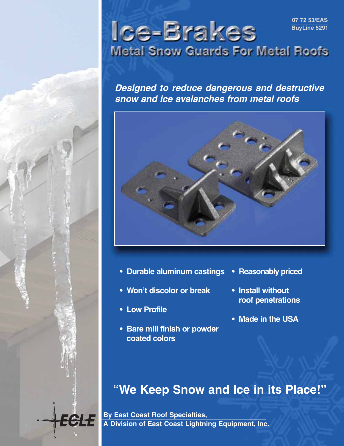

**Ice-Brakes Metal Snow Guards For Metal Roofs** 

**Designed to reduce dangerous and destructive snow and ice avalanches from metal roofs**



- **Durable aluminum castings**
- **Won't discolor or break**
- **Low Profile**

5655

**• Bare mill finish or powder coated colors**

- **Reasonably priced**
- **Install without roof penetrations**
- **Made in the USA**

# **"We Keep Snow and Ice in its Place!"**

**By East Coast Roof Specialties, A Division of East Coast Lightning Equipment, Inc.**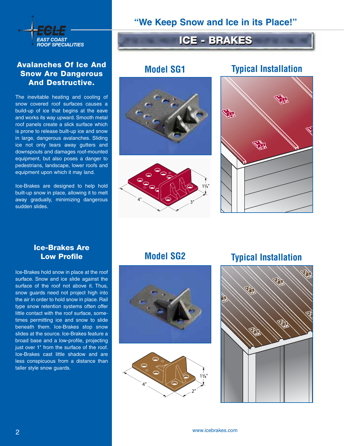

### **Avalanches Of Ice And Snow Are Dangerous And Destructive.**

The inevitable heating and cooling of snow covered roof surfaces causes a build-up of ice that begins at the eave and works its way upward. Smooth metal roof panels create a slick surface which is prone to release built-up ice and snow in large, dangerous avalanches. Sliding ice not only tears away gutters and downspouts and damages roof-mounted equipment, but also poses a danger to pedestrians, landscape, lower roofs and equipment upon which it may land.

Ice-Brakes are designed to help hold built-up snow in place, allowing it to melt away gradually, minimizing dangerous sudden slides.

**"We Keep Snow and Ice in its Place!"**

# **ICE - BRAKES ICE - BRAKES** *EAST COAST*

# **Model SG1**





# **Typical Installation**



### **Ice-Brakes Are Low Profile**

Ice-Brakes hold snow in place at the roof surface. Snow and ice slide against the surface of the roof not above it. Thus, snow guards need not project high into the air in order to hold snow in place. Rail type snow retention systems often offer little contact with the roof surface, sometimes permitting ice and snow to slide beneath them. Ice-Brakes stop snow slides at the source. Ice-Brakes feature a broad base and a low-profile, projecting just over 1" from the surface of the roof. Ice-Brakes cast little shadow and are less conspicuous from a distance than taller style snow guards.

## **Model SG2**





# **Typical Installation**

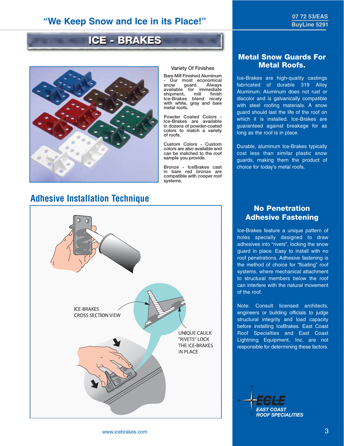## **"We Keep Snow and Ice in its Place!"**

# **ICE - BRAKES ICE - BRAKES**



# **Adhesive Installation Technique**



### **Variety Of Finishes**

**Bare Mill Finished Aluminum - Our most economical** guard. Always<br>for immediate **available for immediate shipment, mill finish Ice-Brakes blend nicely with white, gray and bare metal roofs.**

**Powder Coated Colors - Ice-Brakes are available in dozens of powder-coated colors to match a variety of roofs.**

**Custom Colors - Custom colors are also available and can be matched to the roof sample you provide.**

**Bronze - IceBrakes cast in bare red bronze are compatible with cooper roof systems.**

### **Metal Snow Guards For Metal Roofs.**

Ice-Brakes are high-quality castings fabricated of durable 319 Alloy Aluminum. Aluminum does not rust or discolor and is galvanically compatible with steel roofing materials. A snow guard should last the life of the roof on which it is installed. Ice-Brakes are guaranteed against breakage for as long as the roof is in place.

Durable, aluminum Ice-Brakes typically cost less than similar plastic snow guards, making them the product of choice for today's metal roofs.

### **No Penetration Adhesive Fastening**

Ice-Brakes feature a unique pattern of holes specially designed to draw adhesives into "rivets", locking the snow guard in place. Easy to install with no roof penetrations. Adhesive fastening is the method of choice for "floating" roof systems, where mechanical attachment to structural members below the roof can interfere with the natural movement of the roof.

Note: Consult licensed architects, engineers or building officials to judge structural integrity and load capacity before installing IceBrakes. East Coast Roof Specialties and East Coast Lightning Equipment, Inc. are not responsible for determining these factors.